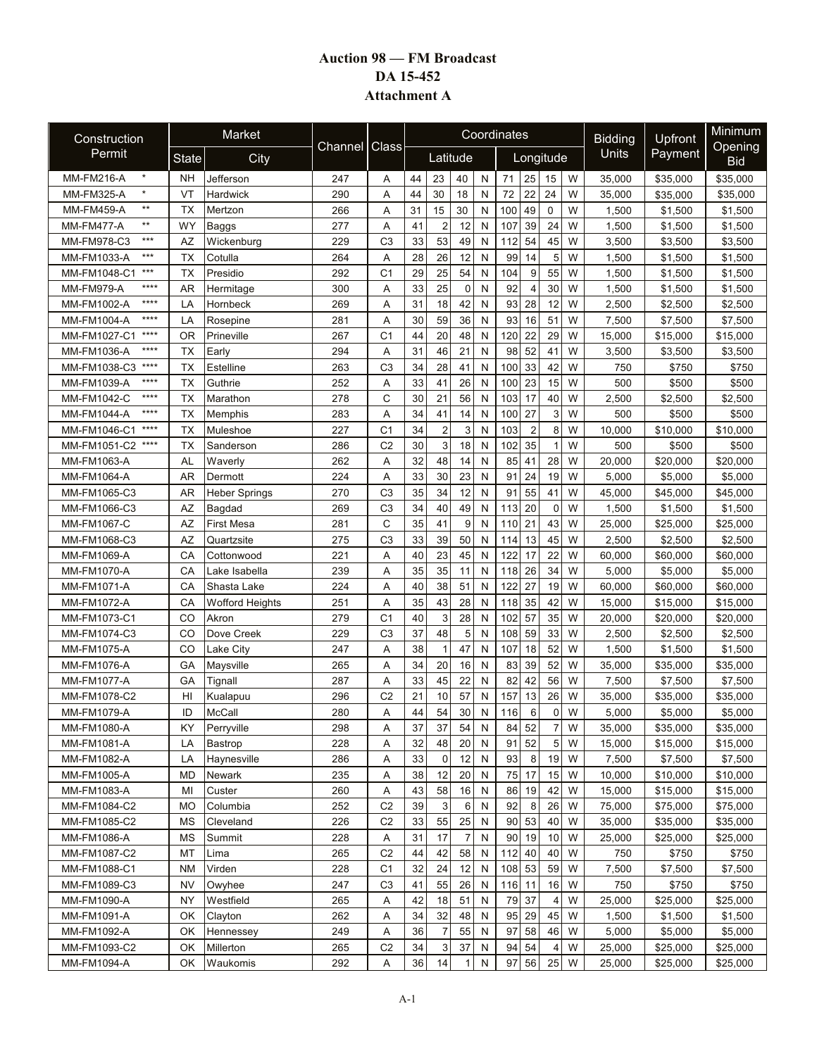## **Auction 98 — FM Broadcast DA 15-452 Attachment A**

| Construction                      |              | Market               |         |                |          |                |             |              | Coordinates           |                  | <b>Bidding</b> | Upfront  | Minimum               |
|-----------------------------------|--------------|----------------------|---------|----------------|----------|----------------|-------------|--------------|-----------------------|------------------|----------------|----------|-----------------------|
| Permit                            | <b>State</b> | City                 | Channel | Class          | Latitude |                |             |              |                       | Longitude        | Units          | Payment  | Opening<br><b>Bid</b> |
| $\star$<br><b>MM-FM216-A</b>      | NΗ           | Jefferson            | 247     | Α              | 44       | 23             | 40          | N            | 25<br>71              | 15<br>W          | 35,000         | \$35,000 | \$35,000              |
| $\star$<br><b>MM-FM325-A</b>      | VT           | Hardwick             | 290     | A              | 44       | 30             | 18          | N            | 22<br>72              | 24<br>W          | 35,000         | \$35,000 | \$35,000              |
| $**$<br><b>MM-FM459-A</b>         | <b>TX</b>    | Mertzon              | 266     | Α              | 31       | 15             | 30          | N            | 100<br>49             | $\mathsf 0$<br>W | 1,500          | \$1,500  | \$1,500               |
| $\star\star$<br><b>MM-FM477-A</b> | WY           | Baggs                | 277     | Α              | 41       | $\overline{2}$ | 12          | N            | 39<br>107             | 24<br>W          | 1,500          | \$1,500  | \$1,500               |
| $***$<br>MM-FM978-C3              | AZ           | Wickenburg           | 229     | C <sub>3</sub> | 33       | 53             | 49          | N            | 54<br>112             | 45<br>W          | 3,500          | \$3,500  | \$3,500               |
| $***$<br>MM-FM1033-A              | <b>TX</b>    | Cotulla              | 264     | Α              | 28       | 26             | 12          | N            | 99<br>14              | 5<br>W           | 1,500          | \$1,500  | \$1,500               |
| $***$<br>MM-FM1048-C1             | ТX           | Presidio             | 292     | C1             | 29       | 25             | 54          | N            | 104<br>9              | 55<br>W          | 1,500          | \$1,500  | \$1,500               |
| $***$<br><b>MM-FM979-A</b>        | AR           | Hermitage            | 300     | Α              | 33       | 25             | $\mathbf 0$ | N            | 92<br>$\overline{4}$  | 30<br>W          | 1,500          | \$1,500  | \$1,500               |
| $***$<br>MM-FM1002-A              | LA           | Hornbeck             | 269     | A              | 31       | 18             | 42          | N            | 28<br>93              | 12<br>W          | 2,500          | \$2,500  | \$2,500               |
| $***$<br>MM-FM1004-A              | LA           | Rosepine             | 281     | Α              | 30       | 59             | 36          | N            | 16<br>93              | 51<br>W          | 7,500          | \$7,500  | \$7,500               |
| $***$<br>MM-FM1027-C1             | OR           | Prineville           | 267     | C <sub>1</sub> | 44       | 20             | 48          | N            | 22<br>120             | 29<br>W          | 15,000         | \$15,000 | \$15,000              |
| $***$<br>MM-FM1036-A              | <b>TX</b>    | Early                | 294     | Α              | 31       | 46             | 21          | N            | 52<br>98              | 41<br>W          | 3,500          | \$3,500  | \$3,500               |
| $***$<br>MM-FM1038-C3             | <b>TX</b>    | Estelline            | 263     | C <sub>3</sub> | 34       | 28             | 41          | N            | 33<br>100             | 42<br>W          | 750            | \$750    | \$750                 |
| $****$<br>MM-FM1039-A             | <b>TX</b>    | Guthrie              | 252     | Α              | 33       | 41             | 26          | N            | 23<br>100             | 15<br>W          | 500            | \$500    | \$500                 |
| $***$<br>MM-FM1042-C              | <b>TX</b>    | Marathon             | 278     | C              | 30       | 21             | 56          | N            | 17<br>103             | 40<br>W          | 2,500          | \$2,500  | \$2,500               |
| $****$<br><b>MM-FM1044-A</b>      | <b>TX</b>    | Memphis              | 283     | Α              | 34       | 41             | 14          | N            | 27<br>100             | W<br>3           | 500            | \$500    | \$500                 |
| $****$<br>MM-FM1046-C1            | ТX           | Muleshoe             | 227     | C <sub>1</sub> | 34       | $\overline{c}$ | 3           | N            | $\overline{2}$<br>103 | 8<br>W           | 10.000         | \$10,000 | \$10,000              |
| MM-FM1051-C2 ****                 | <b>TX</b>    | Sanderson            | 286     | C <sub>2</sub> | 30       | 3              | 18          | N            | 35<br>102             | W<br>1           | 500            | \$500    | \$500                 |
| MM-FM1063-A                       | <b>AL</b>    | Waverly              | 262     | Α              | 32       | 48             | 14          | N            | 85<br>41              | 28<br>W          | 20,000         | \$20,000 | \$20,000              |
| MM-FM1064-A                       | <b>AR</b>    | Dermott              | 224     | Α              | 33       | 30             | 23          | N            | 24<br>91              | 19<br>W          | 5,000          | \$5,000  | \$5,000               |
| MM-FM1065-C3                      | <b>AR</b>    | <b>Heber Springs</b> | 270     | C <sub>3</sub> | 35       | 34             | 12          | N            | 55<br>91              | W<br>41          | 45,000         | \$45,000 | \$45,000              |
| MM-FM1066-C3                      | <b>AZ</b>    | Bagdad               | 269     | C <sub>3</sub> | 34       | 40             | 49          | N            | 20<br>113             | W<br>0           | 1,500          | \$1,500  | \$1,500               |
| MM-FM1067-C                       | AZ           | First Mesa           | 281     | C              | 35       | 41             | 9           | N            | 21<br>110             | 43<br>W          | 25,000         | \$25,000 | \$25,000              |
| MM-FM1068-C3                      | AZ           | Quartzsite           | 275     | C <sub>3</sub> | 33       | 39             | 50          | N            | 13<br>114             | 45<br>W          | 2,500          | \$2,500  | \$2,500               |
| MM-FM1069-A                       | CA           | Cottonwood           | 221     | Α              | 40       | 23             | 45          | N            | 17<br>122             | 22<br>W          | 60,000         | \$60,000 | \$60,000              |
| MM-FM1070-A                       | CA           | Lake Isabella        | 239     | Α              | 35       | 35             | 11          | N            | 118<br>26             | 34<br>W          | 5,000          | \$5,000  | \$5,000               |
| MM-FM1071-A                       | CA           | Shasta Lake          | 224     | A              | 40       | 38             | 51          | N            | 27<br>122             | 19<br>W          | 60,000         | \$60,000 | \$60,000              |
| MM-FM1072-A                       | CA           | Wofford Heights      | 251     | Α              | 35       | 43             | 28          | N            | 118<br>35             | 42<br>W          | 15,000         | \$15,000 | \$15,000              |
| MM-FM1073-C1                      | CO           | Akron                | 279     | C <sub>1</sub> | 40       | 3              | 28          | N            | 57<br>102             | 35<br>W          | 20,000         | \$20,000 | \$20,000              |
| MM-FM1074-C3                      | CO           | Dove Creek           | 229     | C <sub>3</sub> | 37       | 48             | 5           | N            | 59<br>108             | 33<br>W          | 2,500          | \$2,500  | \$2,500               |
| MM-FM1075-A                       | CO           | Lake City            | 247     | Α              | 38       | 1              | 47          | N            | 107<br>18             | 52<br>W          | 1,500          | \$1,500  | \$1,500               |
| MM-FM1076-A                       | GA           | Maysville            | 265     | Α              | 34       | 20             | 16          | N            | 39<br>83              | 52<br>W          | 35,000         | \$35,000 | \$35,000              |
| MM-FM1077-A                       | GA           | Tignall              | 287     | Α              | 33       | 45             | 22          | N            | 42<br>82              | 56<br>W          | 7,500          | \$7,500  | \$7,500               |
| MM-FM1078-C2                      | HI           | Kualapuu             | 296     | C <sub>2</sub> | 21       | 10             | 57          | N            | 13<br>157             | 26<br>W          | 35,000         | \$35,000 | \$35,000              |
| MM-FM1079-A                       | ID           | McCall               | 280     | A              | 44       | 54             | 30          | N            | 6<br>116              | 0<br>W           | 5,000          | \$5,000  | \$5,000               |
| MM-FM1080-A                       | KY           | Perryville           | 298     | Α              | 37       | 37             | 54          | N            | 52<br>84              | 7<br>W           | 35,000         | \$35,000 | \$35,000              |
| MM-FM1081-A                       | LA           | Bastrop              | 228     | Α              | 32       | 48             | 20          | N            | 52<br>91              | 5<br>W           | 15,000         | \$15,000 | \$15,000              |
| MM-FM1082-A                       | LA           | Haynesville          | 286     | Α              | 33       | $\mathbf 0$    | 12          | N            | 93<br>8               | 19<br>W          | 7,500          | \$7,500  | \$7,500               |
| MM-FM1005-A                       | <b>MD</b>    | Newark               | 235     | Α              | 38       | 12             | 20          | $\mathsf{N}$ | 17<br>75              | 15<br>W          | 10,000         | \$10,000 | \$10,000              |
| MM-FM1083-A                       | MI           | Custer               | 260     | Α              | 43       | 58             | 16          | $\mathsf{N}$ | 19<br>86              | 42<br>W          | 15,000         | \$15,000 | \$15,000              |
| MM-FM1084-C2                      | МO           | Columbia             | 252     | C <sub>2</sub> | 39       | 3              | 6           | N            | 92<br>8               | 26<br>W          | 75,000         | \$75,000 | \$75,000              |
| MM-FM1085-C2                      | <b>MS</b>    | Cleveland            | 226     | C <sub>2</sub> | 33       | 55             | 25          | $\mathsf{N}$ | 90<br>53              | 40<br>W          | 35,000         | \$35,000 | \$35,000              |
| MM-FM1086-A                       | <b>MS</b>    | Summit               | 228     | Α              | 31       | 17             | 7           | N            | 19<br>90              | 10<br>W          | 25,000         | \$25,000 | \$25,000              |
| MM-FM1087-C2                      | МT           | Lima                 | 265     | C <sub>2</sub> | 44       | 42             | 58          | N            | 40<br>112             | W<br>40          | 750            | \$750    | \$750                 |
| MM-FM1088-C1                      | NM           | Virden               | 228     | C <sub>1</sub> | 32       | 24             | 12          | N            | 108 53                | 59<br>W          | 7,500          | \$7,500  | \$7,500               |
| MM-FM1089-C3                      | NV           | Owyhee               | 247     | C <sub>3</sub> | 41       | 55             | 26          | N            | 116<br>11             | 16<br>W          | 750            | \$750    | \$750                 |
| MM-FM1090-A                       | NΥ           | Westfield            | 265     | Α              | 42       | 18             | 51          | N            | 37<br>79              | W<br>4           | 25,000         | \$25,000 | \$25,000              |
| MM-FM1091-A                       | OK           | Clayton              | 262     | Α              | 34       | 32             | 48          | N            | 95<br>29              | 45<br>W          | 1,500          | \$1,500  | \$1,500               |
| MM-FM1092-A                       | OK           | Hennessey            | 249     | Α              | 36       | 7              | 55          | N            | 97<br>58              | 46<br>W          | 5,000          | \$5,000  | \$5,000               |
| MM-FM1093-C2                      | OK           | Millerton            | 265     | C <sub>2</sub> | 34       | 3              | 37          | N            | 54<br>94              | W<br>4           | 25,000         | \$25,000 | \$25,000              |
| MM-FM1094-A                       | OK           | Waukomis             | 292     | Α              | 36       | 14             | -1          | N            | 97<br>56              | 25<br>W          | 25,000         | \$25,000 | \$25,000              |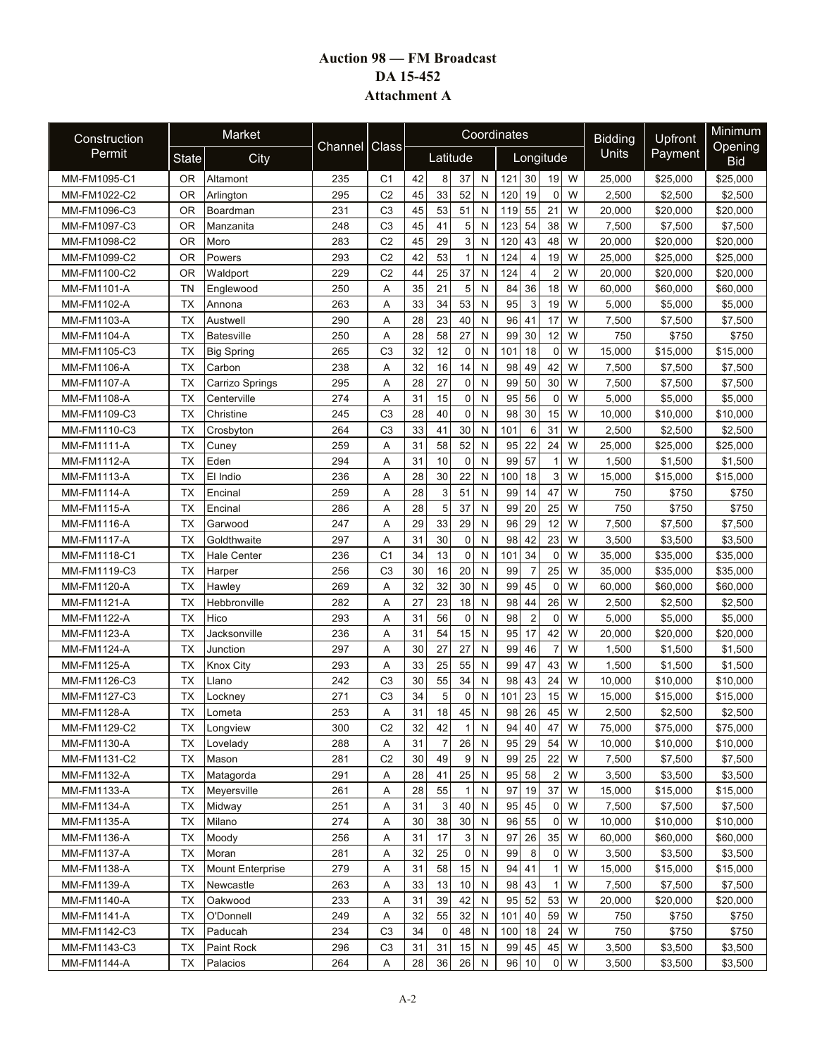## **Auction 98 — FM Broadcast DA 15-452 Attachment A**

| Construction       |                | Market                  |         |                |          |                |             |              | Coordinates           |                     | <b>Bidding</b> | Upfront  | Minimum               |
|--------------------|----------------|-------------------------|---------|----------------|----------|----------------|-------------|--------------|-----------------------|---------------------|----------------|----------|-----------------------|
| Permit             | <b>State</b>   | City                    | Channel | Class          | Latitude |                |             |              |                       | Longitude           | Units          | Payment  | Opening<br><b>Bid</b> |
| MM-FM1095-C1       | 0R             | Altamont                | 235     | C <sub>1</sub> | 42       | 8              | 37          | N            | 121<br>30             | 19<br>W             | 25,000         | \$25,000 | \$25,000              |
| MM-FM1022-C2       | 0R             | Arlington               | 295     | C <sub>2</sub> | 45       | 33             | 52          | N            | 19<br>120             | W<br>$\mathbf 0$    | 2,500          | \$2,500  | \$2,500               |
| MM-FM1096-C3       | 0R             | Boardman                | 231     | C <sub>3</sub> | 45       | 53             | 51          | N            | 119 55                | 21<br>W             | 20,000         | \$20,000 | \$20,000              |
| MM-FM1097-C3       | 0 <sub>R</sub> | Manzanita               | 248     | C <sub>3</sub> | 45       | 41             | 5           | N            | 54<br>123             | 38<br>W             | 7,500          | \$7,500  | \$7,500               |
| MM-FM1098-C2       | 0R             | Moro                    | 283     | C <sub>2</sub> | 45       | 29             | 3           | N            | 43<br>120             | 48<br>W             | 20,000         | \$20,000 | \$20,000              |
| MM-FM1099-C2       | 0R             | Powers                  | 293     | C <sub>2</sub> | 42       | 53             | 1           | N            | 124<br>$\overline{4}$ | 19<br>W             | 25,000         | \$25,000 | \$25,000              |
| MM-FM1100-C2       | 0R             | Waldport                | 229     | C <sub>2</sub> | 44       | 25             | 37          | N            | 124<br>$\overline{4}$ | $\overline{2}$<br>W | 20,000         | \$20,000 | \$20,000              |
| MM-FM1101-A        | ΤN             | Englewood               | 250     | Α              | 35       | 21             | 5           | N            | 84<br>36              | 18<br>W             | 60,000         | \$60,000 | \$60,000              |
| MM-FM1102-A        | TX             | Annona                  | 263     | Α              | 33       | 34             | 53          | N            | 3<br>95               | 19<br>W             | 5,000          | \$5,000  | \$5,000               |
| MM-FM1103-A        | ТX             | Austwell                | 290     | Α              | 28       | 23             | 40          | N            | 41<br>96              | 17<br>W             | 7,500          | \$7,500  | \$7,500               |
| MM-FM1104-A        | <b>TX</b>      | <b>Batesville</b>       | 250     | Α              | 28       | 58             | 27          | N            | 99<br>30              | 12<br>W             | 750            | \$750    | \$750                 |
| MM-FM1105-C3       | <b>TX</b>      | <b>Big Spring</b>       | 265     | C <sub>3</sub> | 32       | 12             | $\mathbf 0$ | N            | 18<br>101             | 0<br>W              | 15,000         | \$15,000 | \$15,000              |
| MM-FM1106-A        | <b>TX</b>      | Carbon                  | 238     | Α              | 32       | 16             | 14          | N            | 49<br>98              | 42<br>W             | 7,500          | \$7,500  | \$7,500               |
| MM-FM1107-A        | <b>TX</b>      | Carrizo Springs         | 295     | Α              | 28       | 27             | $\mathbf 0$ | N            | 99<br>50              | 30<br>W             | 7,500          | \$7,500  | \$7,500               |
| MM-FM1108-A        | <b>TX</b>      | Centerville             | 274     | A              | 31       | 15             | 0           | N            | 95<br>56              | $\mathbf 0$<br>W    | 5,000          | \$5,000  | \$5,000               |
| MM-FM1109-C3       | <b>TX</b>      | Christine               | 245     | C <sub>3</sub> | 28       | 40             | $\mathbf 0$ | N            | 98<br>30              | 15<br>W             | 10,000         | \$10,000 | \$10.000              |
| MM-FM1110-C3       | TX             | Crosbyton               | 264     | C <sub>3</sub> | 33       | 41             | 30          | N            | 6<br>101              | 31<br>W             | 2,500          | \$2.500  | \$2,500               |
| <b>MM-FM1111-A</b> | <b>TX</b>      | Cunev                   | 259     | Α              | 31       | 58             | 52          | N            | 22<br>95              | 24<br>W             | 25,000         | \$25,000 | \$25,000              |
| MM-FM1112-A        | <b>TX</b>      | Eden                    | 294     | Α              | 31       | 10             | 0           | N            | 57<br>99              | W<br>1              | 1,500          | \$1,500  | \$1,500               |
| MM-FM1113-A        | ТX             | El Indio                | 236     | Α              | 28       | 30             | 22          | N            | 18<br>100             | 3<br>W              | 15,000         | \$15,000 | \$15,000              |
| MM-FM1114-A        | TX             | Encinal                 | 259     | A              | 28       | 3              | 51          | N            | 99<br>14              | 47<br>W             | 750            | \$750    | \$750                 |
| MM-FM1115-A        | ТX             | Encinal                 | 286     | Α              | 28       | 5              | 37          | N            | 99<br>20              | 25<br>W             | 750            | \$750    | \$750                 |
| MM-FM1116-A        | ТX             | Garwood                 | 247     | Α              | 29       | 33             | 29          | N            | 29<br>96              | 12<br>W             | 7,500          | \$7,500  | \$7,500               |
| MM-FM1117-A        | TX             | Goldthwaite             | 297     | Α              | 31       | 30             | $\mathbf 0$ | N            | 42<br>98              | 23<br>W             | 3,500          | \$3,500  | \$3,500               |
| MM-FM1118-C1       | <b>TX</b>      | <b>Hale Center</b>      | 236     | C <sub>1</sub> | 34       | 13             | $\mathbf 0$ | N            | 34<br>101             | 0<br>W              | 35,000         | \$35,000 | \$35,000              |
| MM-FM1119-C3       | <b>TX</b>      | Harper                  | 256     | C <sub>3</sub> | 30       | 16             | 20          | N            | 99<br>$\overline{7}$  | 25<br>W             | 35,000         | \$35,000 | \$35,000              |
| MM-FM1120-A        | <b>TX</b>      | Hawley                  | 269     | A              | 32       | 32             | 30          | N            | 45<br>99              | W<br>$\mathbf 0$    | 60,000         | \$60,000 | \$60,000              |
| MM-FM1121-A        | <b>TX</b>      | Hebbronville            | 282     | Α              | 27       | 23             | 18          | N            | 98<br>44              | 26<br>W             | 2,500          | \$2,500  | \$2,500               |
| MM-FM1122-A        | TX             | Hico                    | 293     | Α              | 31       | 56             | $\mathbf 0$ | N            | $\overline{c}$<br>98  | 0<br>W              | 5,000          | \$5,000  | \$5,000               |
| MM-FM1123-A        | <b>TX</b>      | Jacksonville            | 236     | A              | 31       | 54             | 15          | N            | 17<br>95              | 42<br>W             | 20,000         | \$20,000 | \$20,000              |
| MM-FM1124-A        | TX             | Junction                | 297     | Α              | 30       | 27             | 27          | N            | 99<br>46              | $\overline{7}$<br>W | 1,500          | \$1,500  | \$1,500               |
| MM-FM1125-A        | <b>TX</b>      | <b>Knox City</b>        | 293     | Α              | 33       | 25             | 55          | N            | 99<br>47              | 43<br>W             | 1,500          | \$1,500  | \$1,500               |
| MM-FM1126-C3       | TX             | Llano                   | 242     | C <sub>3</sub> | 30       | 55             | 34          | N            | 98<br>43              | 24<br>W             | 10,000         | \$10,000 | \$10,000              |
| MM-FM1127-C3       | ТX             | Lockney                 | 271     | C <sub>3</sub> | 34       | 5              | 0           | N            | 23<br>101             | 15<br>W             | 15,000         | \$15,000 | \$15,000              |
| <b>MM-FM1128-A</b> | <b>TX</b>      | Lometa                  | 253     | Α              | 31       | 18             | 45          | N            | 26<br>98              | 45<br>W             | 2,500          | \$2,500  | \$2,500               |
| MM-FM1129-C2       | ТX             | Longview                | 300     | C <sub>2</sub> | 32       | 42             | 1           | N            | 94 40                 | W<br>47             | 75,000         | \$75,000 | \$75,000              |
| MM-FM1130-A        | ТX             | Lovelady                | 288     | Α              | 31       | $\overline{7}$ | 26          | N            | 95 29                 | 54<br>W             | 10,000         | \$10,000 | \$10,000              |
| MM-FM1131-C2       | TX             | Mason                   | 281     | C <sub>2</sub> | 30       | 49             | 9           | N            | 99 25                 | 22<br>W             | 7,500          | \$7,500  | \$7,500               |
| MM-FM1132-A        | TX             | Matagorda               | 291     | Α              | 28       | 41             | 25          | N            | 95<br>58              | W<br>2              | 3,500          | \$3,500  | \$3,500               |
| MM-FM1133-A        | <b>TX</b>      | Meyersville             | 261     | Α              | 28       | 55             |             | $\mathsf{N}$ | 97<br>19              | 37<br>W             | 15,000         | \$15,000 | \$15,000              |
| MM-FM1134-A        | <b>TX</b>      | Midway                  | 251     | Α              | 31       | 3              | 40          | N            | 45<br>95              | 0<br>W              | 7,500          | \$7,500  | \$7,500               |
| MM-FM1135-A        | <b>TX</b>      | Milano                  | 274     | Α              | 30       | 38             | 30          | $\mathsf{N}$ | 55<br>96              | 0<br>W              | 10,000         | \$10,000 | \$10,000              |
| MM-FM1136-A        | TX             | Moody                   | 256     | Α              | 31       | 17             | 3           | N            | 26<br>97              | 35<br>W             | 60,000         | \$60,000 | \$60,000              |
| MM-FM1137-A        | TX             | Moran                   | 281     | Α              | 32       | 25             | 0           | N            | 8<br>99               | W<br>0              | 3,500          | \$3,500  | \$3,500               |
| MM-FM1138-A        | <b>TX</b>      | <b>Mount Enterprise</b> | 279     | Α              | 31       | 58             | 15          | N            | 94<br>41              | W<br>1              | 15,000         | \$15,000 | \$15,000              |
| MM-FM1139-A        | ТX             | Newcastle               | 263     | Α              | 33       | 13             | 10          | N            | 43<br>98              | W                   | 7,500          | \$7,500  | \$7,500               |
| MM-FM1140-A        | ТX             | Oakwood                 | 233     | Α              | 31       | 39             | 42          | N            | 52<br>95              | 53<br>W             | 20,000         | \$20,000 | \$20,000              |
| MM-FM1141-A        | ТX             | O'Donnell               | 249     | Α              | 32       | 55             | 32          | N            | 40<br>101             | 59<br>W             | 750            | \$750    | \$750                 |
| MM-FM1142-C3       | TX             | Paducah                 | 234     | C <sub>3</sub> | 34       | 0              | 48          | N            | 18<br>100             | 24<br>W             | 750            | \$750    | \$750                 |
| MM-FM1143-C3       | ТX             | Paint Rock              | 296     | C <sub>3</sub> | 31       | 31             | 15          | N            | 45<br>99              | 45<br>W             | 3,500          | \$3,500  | \$3,500               |
| MM-FM1144-A        | ТX             | Palacios                | 264     | Α              | 28       | 36             | 26          | N            | 96 10                 | $\mathbf{0}$<br>W   | 3,500          | \$3,500  | \$3,500               |